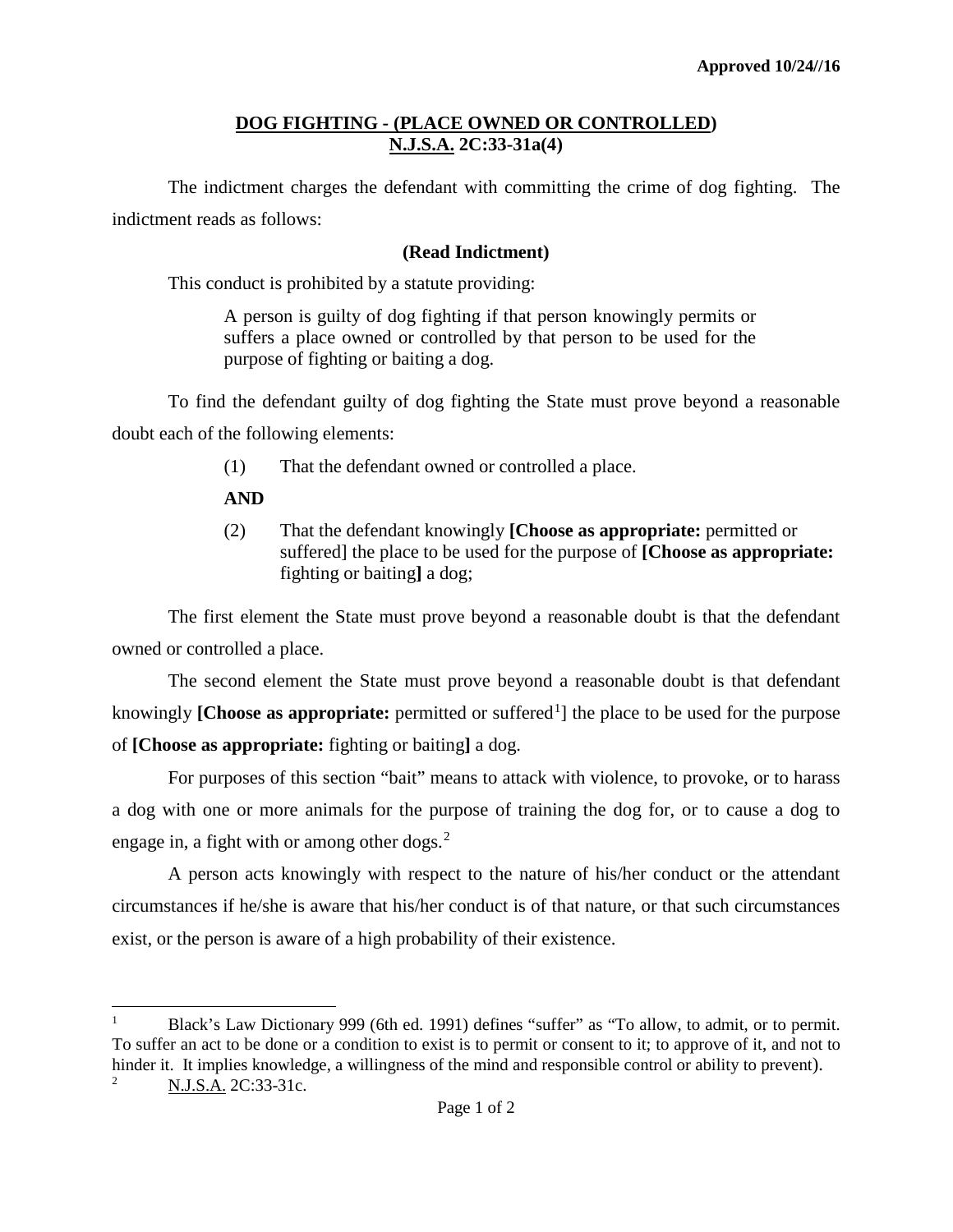## **DOG FIGHTING - (PLACE OWNED OR CONTROLLED) N.J.S.A. 2C:33-31a(4)**

The indictment charges the defendant with committing the crime of dog fighting. The indictment reads as follows:

## **(Read Indictment)**

This conduct is prohibited by a statute providing:

A person is guilty of dog fighting if that person knowingly permits or suffers a place owned or controlled by that person to be used for the purpose of fighting or baiting a dog.

To find the defendant guilty of dog fighting the State must prove beyond a reasonable doubt each of the following elements:

- (1) That the defendant owned or controlled a place.
- **AND**

 $\overline{\phantom{a}}$ 

(2) That the defendant knowingly **[Choose as appropriate:** permitted or suffered] the place to be used for the purpose of **[Choose as appropriate:**  fighting or baiting**]** a dog;

The first element the State must prove beyond a reasonable doubt is that the defendant owned or controlled a place.

The second element the State must prove beyond a reasonable doubt is that defendant knowingly [Choose as appropriate: permitted or suffered<sup>[1](#page-0-0)</sup>] the place to be used for the purpose of **[Choose as appropriate:** fighting or baiting**]** a dog.

For purposes of this section "bait" means to attack with violence, to provoke, or to harass a dog with one or more animals for the purpose of training the dog for, or to cause a dog to engage in, a fight with or among other dogs. $<sup>2</sup>$  $<sup>2</sup>$  $<sup>2</sup>$ </sup>

A person acts knowingly with respect to the nature of his/her conduct or the attendant circumstances if he/she is aware that his/her conduct is of that nature, or that such circumstances exist, or the person is aware of a high probability of their existence.

<span id="page-0-1"></span><span id="page-0-0"></span><sup>&</sup>lt;sup>1</sup> Black's Law Dictionary 999 (6th ed. 1991) defines "suffer" as "To allow, to admit, or to permit. To suffer an act to be done or a condition to exist is to permit or consent to it; to approve of it, and not to hinder it. It implies knowledge, a willingness of the mind and responsible control or ability to prevent). <sup>2</sup> N.J.S.A. 2C:33-31c.